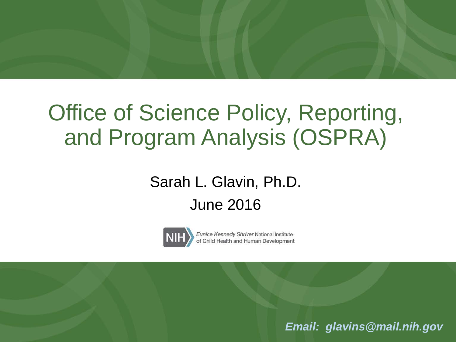### Office of Science Policy, Reporting, and Program Analysis (OSPRA)

### Sarah L. Glavin, Ph.D. June 2016



Eunice Kennedy Shriver National Institute of Child Health and Human Development

*Email: [glavins@mail.nih.gov](mailto:glavins@mail.nih.gov)*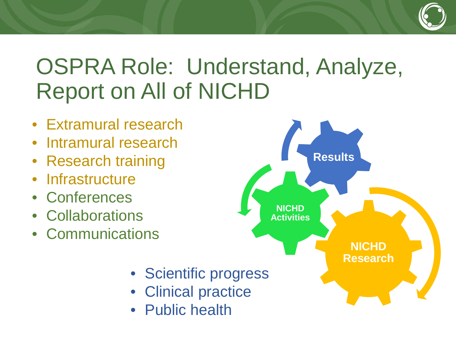### OSPRA Role: Understand, Analyze, Report on All of NICHD

- Extramural research
- Intramural research
- Research training
- Infrastructure
- Conferences
- Collaborations
- Communications



- Scientific progress
- Clinical practice
- Public health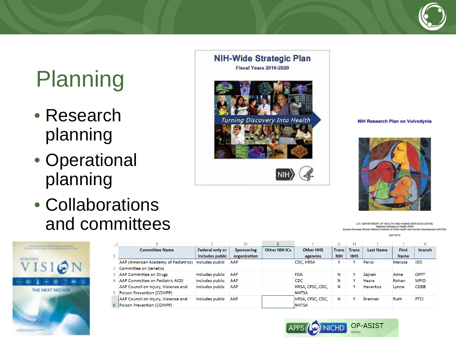# Planning

- Research planning
- Operational planning
- Collaborations and committees









U.S. DEPARTMENT OF HEALTH AND HUMAN SERVICES (DHHS) National Institutes of Health (NIH)<br>Eunice Kennedy Shriver National Institute of Child Health and Human Development (NICHD)

**April 2012** 

|                |                                      |                        |                   |                      |                  | G            |              |                  |              | N             |
|----------------|--------------------------------------|------------------------|-------------------|----------------------|------------------|--------------|--------------|------------------|--------------|---------------|
|                | <b>Committee Name</b>                | <b>Federal only or</b> | <b>Sponsoring</b> | <b>Other NIH ICs</b> | <b>Other HHS</b> | <b>Trans</b> | <b>Trans</b> | <b>Last Name</b> | <b>First</b> | <b>branch</b> |
|                |                                      | Includes public        | organization      |                      | agencies         | <b>NIH</b>   | <b>HHS</b>   |                  | <b>Name</b>  |               |
|                | AAP (American Academy of Pediatrics) | Includes public        | AAP               |                      | CDC, HRSA        |              |              | Parisi           | Melissa      | <b>IDD</b>    |
|                | Committee on Genetics                |                        |                   |                      |                  |              |              |                  |              |               |
|                | <b>AAP Committee on Drugs</b>        | Includes public        | <b>AAP</b>        |                      | <b>FDA</b>       | N            |              | Zajicek          | Anne         | <b>OPPT</b>   |
| $\overline{4}$ | AAP Committee on Pediatric AIDS      | Includes public        | <b>AAP</b>        |                      | <b>CDC</b>       | N            |              | Hazra            | Rohan        | <b>MPID</b>   |
|                | AAP Council on Injury, Violence and  | Includes public        | <b>AAP</b>        |                      | HRSA, CPSC, CDC, | N            |              | <b>Haverkos</b>  | Lynne        | <b>CDBB</b>   |
|                | Poison Prevention (COIVPP)           |                        |                   |                      | <b>NHTSA</b>     |              |              |                  |              |               |
|                | AAP Council on Injury, Violence and  | Includes public        | <b>AAP</b>        |                      | HRSA, CPSC, CDC, | N            |              | <b>Brenner</b>   | <b>Ruth</b>  | <b>PTCI</b>   |
| 6              | <b>Poison Prevention (COIVPP)</b>    |                        |                   |                      | <b>INHTSA</b>    |              |              |                  |              |               |

OP-ASIST APPS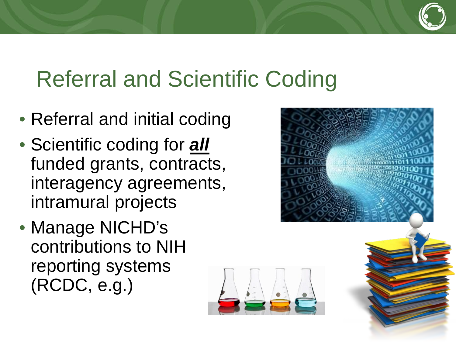### Referral and Scientific Coding

- Referral and initial coding
- Scientific coding for *all*  funded grants, contracts, interagency agreements, intramural projects
- Manage NICHD's contributions to NIH reporting systems (RCDC, e.g.)



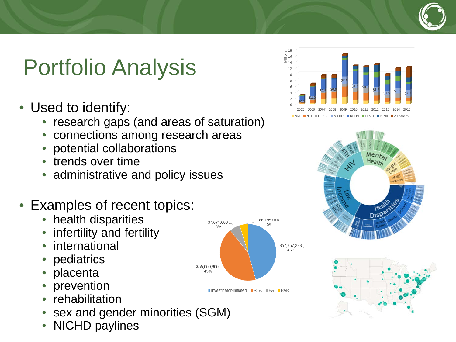## Portfolio Analysis

- Used to identify:
	- research gaps (and areas of saturation)
	- connections among research areas
	- potential collaborations
	- trends over time
	- administrative and policy issues
- Examples of recent topics:
	- health disparities
	- infertility and fertility
	- international
	- pediatrics
	- placenta
	- prevention
	- rehabilitation
	- sex and gender minorities (SGM)
	- NICHD paylines









■ investigator-initiated ■ RFA ■ PA ■ PAR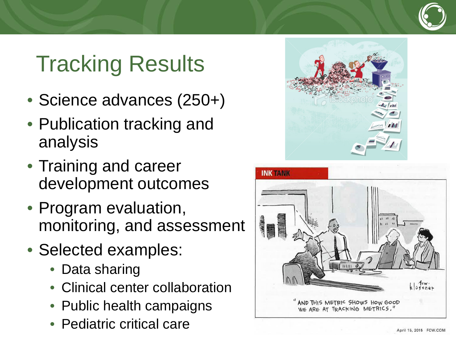## Tracking Results

- Science advances (250+)
- Publication tracking and analysis
- Training and career development outcomes
- Program evaluation, monitoring, and assessment
- Selected examples:
	- Data sharing
	- Clinical center collaboration
	- Public health campaigns
	- Pediatric critical care



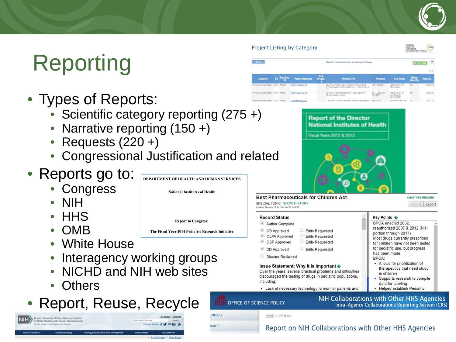## **Reporting**

- Types of Reports:
	- Scientific category reporting (275 +)
	- Narrative reporting (150 +)
	- Requests (220 +)
	- Congressional Justification and related
- Reports go to:
	- **Congress**
	- NIH
	- HHS
	- OMB
	- White House
	- Interagency working groups
	- NICHD and NIH web sites
	- **Others**
- Report, Reuse, Recycle



DEPARTMENT OF HEALTH AND HUMAN SERVICES

**National Institutes of Health** 

**Report to Congress:** 

The Fiscal Year 2014 Pediatric Research Initiative

**IMMARY** 

**HARTS** 

**Ex Eunding** Project Numb NH FES ASSISTED CYCLING TO MP<br>FITNESS AND STRENGTH IN CHILDRE LEE, SAVEX 2015 NICHO Physical Rehabilitation 2015 NICHO 5R01HD061452-04 Physical Renabilitation 2015 NICHO 5F31HD071092-0

Click the column headings to set project listing



### **Best Pharmaceuticals for Children Act**

SPECIAL TOPIC SHOW HISTORY Indated: February 15, 2016 at 5 44:06 pm EST

Project Listing by Category

### **Record Status**

### Author Complete

- CB Approved Edits Requested
- OLPA Approved Edits Requested Edits Requested
- └ OSP Approved DD Approved Edits Requested
- Director Reviewed

### Issue Statement: Why It Is Important �

Over the years, several practical problems and difficulties discouraged the testing of drugs in pediatric populations, including:

• Lack of necessary technology to monitor patients and

### NIH Collaborations with Other HHS Agencies **Intra-Agency Collaborations Reporting System (CRS)**

**Key Points ♦** 

has been made

in children

data for labeling

BPCA:

BPCA enacted 2002,

portion through 2017)

reauthorized 2007 & 2012 (NIH

Most drugs currently prescribed

for children have not been tested for pediatric use, but progress

· Allows for prioritization of

therapeutics that need study

Supports research to compile

Helped establish Pediatric

HOME > CRS Home

OFFICE OF SCIENCE POLICY

### Report on NIH Collaborations with Other HHS Agencies

\$455.24 \$501,609

\$47,232

CHAT THIS RECORD

Import Export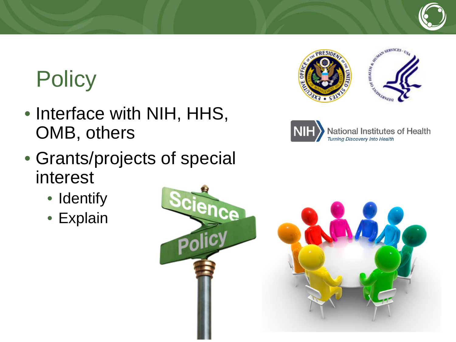# **Policy**

- Interface with NIH, HHS, OMB, others
- Grants/projects of special interest
	- Identify
	- Explain





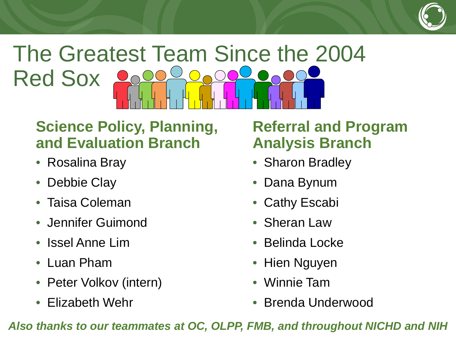

### The Greatest Team Since the 2004 Red Sox  $\bigodot$

### **Science Policy, Planning, and Evaluation Branch**

- Rosalina Bray
- Debbie Clay
- Taisa Coleman
- Jennifer Guimond
- Issel Anne Lim
- Luan Pham
- Peter Volkov (intern)
- Elizabeth Wehr

### **Referral and Program Analysis Branch**

- Sharon Bradley
- Dana Bynum
- Cathy Escabi
- Sheran Law
- Belinda Locke
- Hien Nguyen
- Winnie Tam
- Brenda Underwood

*Also thanks to our teammates at OC, OLPP, FMB, and throughout NICHD and NIH*